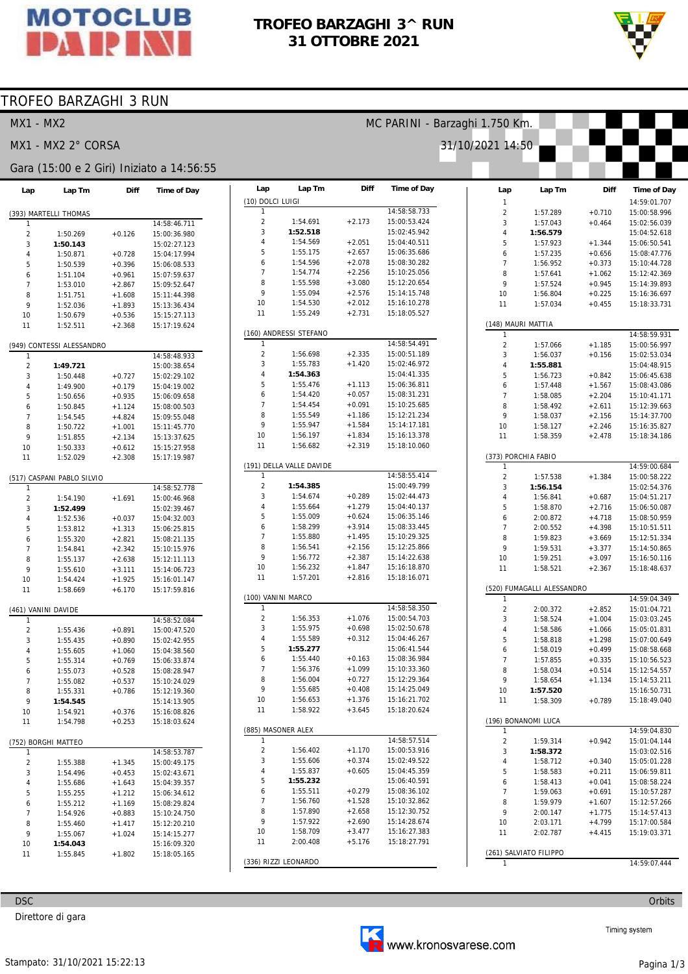

#### **TROFEO BARZAGHI 3^ RUN 31 OTTOBRE 2021**

MC PARINI - Barzaghi 1.750 Km.

31/10/2021 14:50



#### TROFEO BARZAGHI 3 RUN

MX1 - MX2

MX1 - MX2 2° CORSA

#### Gara (15:00 e 2 Giri) Iniziato a 14:56:55

| Lap            | Lap Tm                     | Diff     | <b>Time of Day</b>           |
|----------------|----------------------------|----------|------------------------------|
|                |                            |          |                              |
|                | (393) MARTELLI THOMAS      |          |                              |
| 1              |                            |          | 14:58:46.711                 |
| $\overline{c}$ | 1:50.269                   | $+0.126$ | 15:00:36.980                 |
| 3              | 1:50.143                   |          | 15:02:27.123                 |
| 4              | 1:50.871                   | $+0.728$ | 15:04:17.994                 |
| 5              | 1:50.539                   | $+0.396$ | 15:06:08.533                 |
| 6              | 1:51.104                   | $+0.961$ | 15:07:59.637                 |
| $\overline{7}$ | 1:53.010                   | $+2.867$ | 15:09:52.647                 |
| 8              | 1:51.751                   | $+1.608$ | 15:11:44.398                 |
| 9              | 1:52.036                   | $+1.893$ | 15:13:36.434                 |
| 10             | 1:50.679                   | $+0.536$ | 15:15:27.113                 |
| 11             | 1:52.511                   | $+2.368$ | 15:17:19.624                 |
|                | (949) CONTESSI ALESSANDRO  |          |                              |
| 1              |                            |          | 14:58:48.933                 |
| $\overline{c}$ | 1:49.721                   |          | 15:00:38.654                 |
| 3<br>4         | 1:50.448                   | $+0.727$ | 15:02:29.102                 |
|                | 1:49.900                   | $+0.179$ | 15:04:19.002                 |
| 5              | 1:50.656                   | $+0.935$ | 15:06:09.658                 |
| 6              | 1:50.845                   | $+1.124$ | 15:08:00.503                 |
| $\overline{7}$ | 1:54.545                   | $+4.824$ | 15:09:55.048                 |
| 8              | 1:50.722                   | $+1.001$ | 15:11:45.770                 |
| 9              | 1:51.855                   | $+2.134$ | 15:13:37.625                 |
| 10             | 1:50.333                   | $+0.612$ | 15:15:27.958                 |
| 11             | 1:52.029                   | $+2.308$ | 15:17:19.987                 |
|                | (517) CASPANI PABLO SILVIO |          |                              |
| 1              |                            |          | 14:58:52.778                 |
| $\overline{2}$ | 1:54.190                   | $+1.691$ | 15:00:46.968                 |
| 3              | 1:52.499                   |          | 15:02:39.467                 |
| 4              | 1:52.536                   | $+0.037$ | 15:04:32.003                 |
| 5              | 1:53.812                   | $+1.313$ | 15:06:25.815                 |
| 6              | 1:55.320                   | $+2.821$ | 15:08:21.135                 |
| 7              | 1:54.841                   | $+2.342$ | 15:10:15.976                 |
| 8              | 1:55.137                   | $+2.638$ | 15:12:11.113                 |
| 9              | 1:55.610                   | $+3.111$ | 15:14:06.723                 |
| 10             | 1:54.424                   | $+1.925$ | 15:16:01.147                 |
| 11             | 1:58.669                   | $+6.170$ | 15:17:59.816                 |
|                |                            |          |                              |
|                | (461) VANINI DAVIDE        |          |                              |
| 1              |                            |          | 14:58:52.084                 |
| $\overline{2}$ | 1:55.436                   | $+0.891$ | 15:00:47.520                 |
| 3              | 1:55.435                   | $+0.890$ | 15:02:42.955                 |
| 4              | 1:55.605                   | $+1.060$ | 15:04:38.560                 |
| 5              | 1:55.314                   | $+0.769$ | 15:06:33.874                 |
| 6              | 1:55.073                   | $+0.528$ | 15:08:28.947                 |
| 7              | 1:55.082                   | $+0.537$ | 15:10:24.029                 |
| 8              | 1:55.331                   | $+0.786$ | 15:12:19.360                 |
| 9              | 1:54.545                   |          | 15:14:13.905                 |
| 10             | 1:54.921                   | $+0.376$ | 15:16:08.826                 |
| 11             | 1:54.798                   | $+0.253$ | 15:18:03.624                 |
|                | (752) BORGHI MATTEO        |          |                              |
| 1              |                            |          | 14:58:53.787                 |
| $\overline{c}$ | 1:55.388                   | $+1.345$ | 15:00:49.175                 |
| 3              | 1:54.496                   | $+0.453$ | 15:02:43.671                 |
| 4              | 1:55.686                   | $+1.643$ | 15:04:39.357                 |
| 5              | 1:55.255                   | $+1.212$ | 15:06:34.612                 |
| 6              | 1:55.212                   | $+1.169$ | 15:08:29.824                 |
| 7              | 1:54.926                   | $+0.883$ | 15:10:24.750                 |
| 8              | 1:55.460                   | $+1.417$ | 15:12:20.210                 |
| 9              |                            |          | 15:14:15.277                 |
|                | 1:55.067                   | $+1.024$ |                              |
| 10             | 1:54.043                   |          | 15:16:09.320<br>15:18:05.165 |
| 11             | 1:55.845                   | $+1.802$ |                              |
|                |                            |          |                              |

Direttore di gara

**DSC** 

| Lap                | Lap Tm                   | Diff     | <b>Time of Day</b> |  |  |  |  |
|--------------------|--------------------------|----------|--------------------|--|--|--|--|
| (10) DOLCI LUIGI   |                          |          |                    |  |  |  |  |
| 1                  |                          |          | 14:58:58.733       |  |  |  |  |
| 2                  | 1:54.691                 | $+2.173$ | 15:00:53.424       |  |  |  |  |
| 3                  | 1:52.518                 |          | 15:02:45.942       |  |  |  |  |
| 4                  | 1:54.569                 | $+2.051$ | 15:04:40.511       |  |  |  |  |
| 5                  | 1:55.175                 | $+2.657$ | 15:06:35.686       |  |  |  |  |
| 6                  | 1:54.596                 | $+2.078$ | 15:08:30.282       |  |  |  |  |
| 7                  | 1:54.774                 | $+2.256$ | 15:10:25.056       |  |  |  |  |
| 8                  | 1:55.598                 | $+3.080$ | 15:12:20.654       |  |  |  |  |
| 9                  | 1:55.094                 | $+2.576$ | 15:14:15.748       |  |  |  |  |
| 10                 | 1:54.530                 | $+2.012$ | 15:16:10.278       |  |  |  |  |
| 11                 | 1:55.249                 | $+2.731$ | 15:18:05.527       |  |  |  |  |
|                    |                          |          |                    |  |  |  |  |
|                    | (160) ANDRESSI STEFANO   |          |                    |  |  |  |  |
| 1                  |                          |          | 14:58:54.491       |  |  |  |  |
| 2                  | 1:56.698                 | $+2.335$ | 15:00:51.189       |  |  |  |  |
| 3                  | 1:55.783                 | $+1.420$ | 15:02:46.972       |  |  |  |  |
| 4                  | 1:54.363                 |          | 15:04:41.335       |  |  |  |  |
| 5                  | 1:55.476                 | $+1.113$ | 15:06:36.811       |  |  |  |  |
| 6                  | 1:54.420                 | $+0.057$ | 15:08:31.231       |  |  |  |  |
| 7                  | 1:54.454                 | $+0.091$ | 15:10:25.685       |  |  |  |  |
| 8                  | 1:55.549                 | $+1.186$ | 15:12:21.234       |  |  |  |  |
| 9                  | 1:55.947                 | $+1.584$ | 15:14:17.181       |  |  |  |  |
| 10                 | 1:56.197                 | $+1.834$ | 15:16:13.378       |  |  |  |  |
| 11                 | 1:56.682                 | $+2.319$ | 15:18:10.060       |  |  |  |  |
|                    |                          |          |                    |  |  |  |  |
|                    | (191) DELLA VALLE DAVIDE |          |                    |  |  |  |  |
| 1                  |                          |          | 14:58:55.414       |  |  |  |  |
| $\overline{2}$     | 1:54.385                 |          | 15:00:49.799       |  |  |  |  |
| 3                  | 1:54.674                 | $+0.289$ | 15:02:44.473       |  |  |  |  |
| 4                  | 1:55.664                 | $+1.279$ | 15:04:40.137       |  |  |  |  |
| 5                  | 1:55.009                 | $+0.624$ | 15:06:35.146       |  |  |  |  |
|                    | 1:58.299                 |          |                    |  |  |  |  |
| 6<br>7             |                          | $+3.914$ | 15:08:33.445       |  |  |  |  |
|                    | 1:55.880                 | $+1.495$ | 15:10:29.325       |  |  |  |  |
| 8                  | 1:56.541                 | $+2.156$ | 15:12:25.866       |  |  |  |  |
| 9                  | 1:56.772                 | $+2.387$ | 15:14:22.638       |  |  |  |  |
| 10                 | 1:56.232                 | +1.847   | 15:16:18.870       |  |  |  |  |
| 11                 | 1:57.201                 | $+2.816$ | 15:18:16.071       |  |  |  |  |
|                    |                          |          |                    |  |  |  |  |
| 1                  | (100) VANINI MARCO       |          |                    |  |  |  |  |
|                    |                          |          | 14:58:58.350       |  |  |  |  |
| 2                  | 1:56.353                 | $+1.076$ | 15:00:54.703       |  |  |  |  |
| 3                  | 1:55.975                 | $+0.698$ | 15:02:50.678       |  |  |  |  |
| 4                  | 1:55.589                 | $+0.312$ | 15:04:46.267       |  |  |  |  |
| 5                  | 1:55.277                 |          | 15:06:41.544       |  |  |  |  |
| 6                  | 1:55.440                 | $+0.163$ | 15:08:36.984       |  |  |  |  |
| 7                  | 1:56.376                 | $+1.099$ | 15:10:33.360       |  |  |  |  |
| 8                  | 1:56.004                 | $+0.727$ | 15:12:29.364       |  |  |  |  |
| 9                  | 1:55.685                 | $+0.408$ | 15:14:25.049       |  |  |  |  |
| 10                 | 1:56.653                 | $+1.376$ | 15:16:21.702       |  |  |  |  |
| 11                 | 1:58.922                 | $+3.645$ | 15:18:20.624       |  |  |  |  |
|                    |                          |          |                    |  |  |  |  |
| (885) MASONER ALEX |                          |          |                    |  |  |  |  |
| 1                  |                          |          | 14:58:57.514       |  |  |  |  |
| 2                  | 1:56.402                 | $+1.170$ | 15:00:53.916       |  |  |  |  |
| 3                  | 1:55.606                 | $+0.374$ | 15:02:49.522       |  |  |  |  |
| 4                  | 1:55.837                 | $+0.605$ | 15:04:45.359       |  |  |  |  |
| 5                  | 1:55.232                 |          | 15:06:40.591       |  |  |  |  |
| 6                  | 1:55.511                 | $+0.279$ | 15:08:36.102       |  |  |  |  |
| 7                  | 1:56.760                 | $+1.528$ | 15:10:32.862       |  |  |  |  |
| 8                  | 1:57.890                 | $+2.658$ | 15:12:30.752       |  |  |  |  |
| 9                  | 1:57.922                 | $+2.690$ | 15:14:28.674       |  |  |  |  |
| 10                 | 1:58.709                 | $+3.477$ | 15:16:27.383       |  |  |  |  |
| 11                 | 2:00.408                 | $+5.176$ | 15:18:27.791       |  |  |  |  |
|                    |                          |          |                    |  |  |  |  |
|                    | (336) RIZZI LEONARDO     |          |                    |  |  |  |  |

| Lap                 | Lap Tm                     | Diff                 | <b>Time of Day</b>           |
|---------------------|----------------------------|----------------------|------------------------------|
| 1                   |                            |                      | 14:59:01.707                 |
| $\overline{c}$      | 1:57.289                   | $+0.710$             | 15:00:58.996                 |
| 3                   | 1:57.043                   | $+0.464$             | 15:02:56.039                 |
| 4<br>5              | 1:56.579                   |                      | 15:04:52.618                 |
| 6                   | 1:57.923<br>1:57.235       | $+1.344$<br>$+0.656$ | 15:06:50.541<br>15:08:47.776 |
| $\overline{7}$      | 1:56.952                   | $+0.373$             | 15:10:44.728                 |
| 8                   | 1:57.641                   | $+1.062$             | 15:12:42.369                 |
| 9                   | 1:57.524                   | $+0.945$             | 15:14:39.893                 |
| 10                  | 1:56.804                   | $+0.225$             | 15:16:36.697                 |
| 11                  | 1:57.034                   | $+0.455$             | 15:18:33.731                 |
| (148) MAURI MATTIA  |                            |                      |                              |
| 1                   |                            |                      | 14:58:59.931                 |
| 2                   | 1:57.066                   | $+1.185$             | 15:00:56.997                 |
| 3                   | 1:56.037                   | $+0.156$             | 15:02:53.034                 |
| 4                   | 1:55.881                   |                      | 15:04:48.915                 |
| 5                   | 1:56.723                   | $+0.842$             | 15:06:45.638                 |
| 6<br>$\overline{7}$ | 1:57.448<br>1:58.085       | $+1.567$<br>$+2.204$ | 15:08:43.086<br>15:10:41.171 |
| 8                   | 1:58.492                   | $+2.611$             | 15:12:39.663                 |
| 9                   | 1:58.037                   | $+2.156$             | 15:14:37.700                 |
| 10                  | 1:58.127                   | $+2.246$             | 15:16:35.827                 |
| 11                  | 1:58.359                   | $+2.478$             | 15:18:34.186                 |
| (373) PORCHIA FABIO |                            |                      |                              |
| 1                   |                            |                      | 14:59:00.684                 |
| 2                   | 1:57.538                   | $+1.384$             | 15:00:58.222                 |
| 3                   | 1:56.154                   |                      | 15:02:54.376                 |
| 4                   | 1:56.841                   | $+0.687$             | 15:04:51.217                 |
| 5                   | 1:58.870                   | $+2.716$             | 15:06:50.087                 |
| 6                   | 2:00.872                   | $+4.718$             | 15:08:50.959                 |
| 7                   | 2:00.552                   | $+4.398$             | 15:10:51.511                 |
| 8                   | 1:59.823                   | $+3.669$             | 15:12:51.334                 |
| 9                   | 1:59.531                   | $+3.377$             | 15:14:50.865                 |
| 10                  | 1:59.251                   | $+3.097$             | 15:16:50.116                 |
| 11                  | 1:58.521                   | $+2.367$             | 15:18:48.637                 |
|                     | (520) FUMAGALLI ALESSANDRO |                      |                              |
| 1                   |                            |                      | 14:59:04.349                 |
| $\overline{c}$      | 2:00.372                   | $+2.852$             | 15:01:04.721                 |
| 3<br>4              | 1:58.524<br>1:58.586       | $+1.004$<br>$+1.066$ | 15:03:03.245<br>15:05:01.831 |
| 5                   | 1:58.818                   | $+1.298$             | 15:07:00.649                 |
| 6                   | 1:58.019                   | $+0.499$             | 15:08:58.668                 |
| 7                   | 1:57.855                   | $+0.335$             | 15:10:56.523                 |
| 8                   | 1:58.034                   | $+0.514$             | 15:12:54.557                 |
| 9                   | 1:58.654                   | $+1.134$             | 15:14:53.211                 |
| 10                  | 1:57.520                   |                      | 15:16:50.731                 |
| 11                  | 1:58.309                   | $+0.789$             | 15:18:49.040                 |
|                     | (196) BONANOMI LUCA        |                      |                              |
| 1                   |                            |                      | 14:59:04.830                 |
| 2                   | 1:59.314                   | $+0.942$             | 15:01:04.144                 |
| 3<br>4              | 1:58.372<br>1:58.712       | $+0.340$             | 15:03:02.516<br>15:05:01.228 |
| 5                   | 1:58.583                   | $+0.211$             | 15:06:59.811                 |
| 6                   | 1:58.413                   | $+0.041$             | 15:08:58.224                 |
| 7                   | 1:59.063                   | $+0.691$             | 15:10:57.287                 |
| 8                   | 1:59.979                   | $+1.607$             | 15:12:57.266                 |
| 9                   | 2:00.147                   | $+1.775$             | 15:14:57.413                 |
| 10                  | 2:03.171                   | $+4.799$             | 15:17:00.584                 |
| 11                  | 2:02.787                   | $+4.415$             | 15:19:03.371                 |
|                     |                            |                      |                              |
|                     | (261) SALVIATO FILIPPO     |                      |                              |
|                     |                            |                      | 14:59:07.444                 |
|                     |                            |                      |                              |



Timing system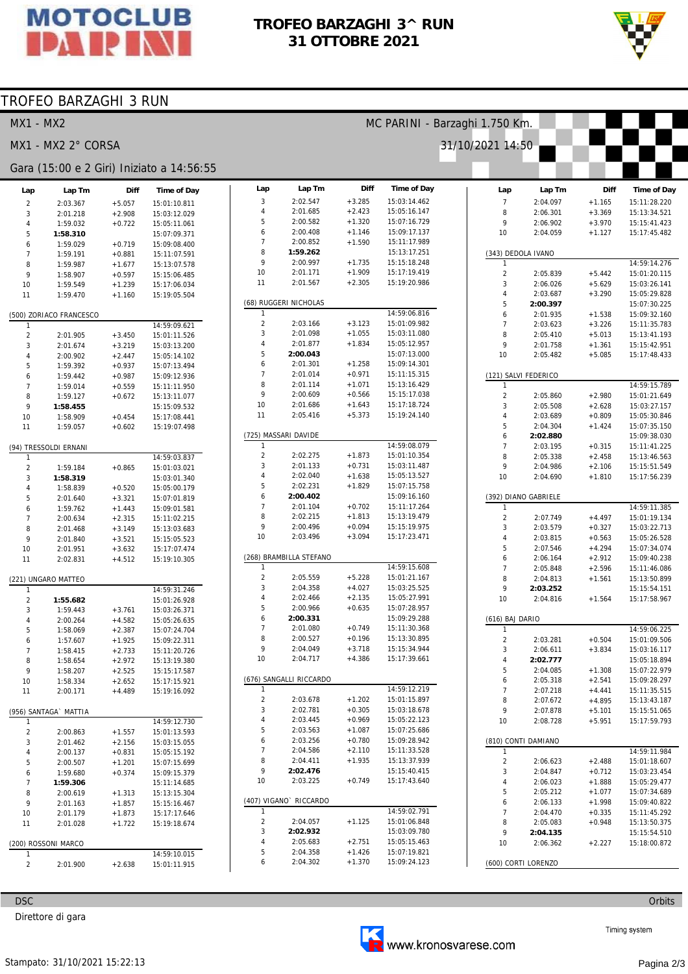

### TROFEO BARZAGHI 3^ RUN 31 OTTOBRE 2021



# TROFEO BARZAGHI 3 RUN

| <b>MX1 - MX2</b>    |                         |                      |                                           |                     |                                    |                      |                              | MC PARINI - Barzaghi 1.750 Km. |                      |                      |                              |
|---------------------|-------------------------|----------------------|-------------------------------------------|---------------------|------------------------------------|----------------------|------------------------------|--------------------------------|----------------------|----------------------|------------------------------|
|                     | MX1 - MX2 2° CORSA      |                      |                                           |                     |                                    |                      |                              | 31/10/2021 14:50               |                      |                      |                              |
|                     |                         |                      | Gara (15:00 e 2 Giri) Iniziato a 14:56:55 |                     |                                    |                      |                              |                                |                      |                      |                              |
| Lap                 | Lap Tm                  | Diff                 | Time of Day                               | Lap                 | Lap Tm                             | Diff                 | <b>Time of Day</b>           | Lap                            | Lap Tm               | Diff                 | Time of Day                  |
| $\overline{2}$      | 2:03.367                | $+5.057$             | 15:01:10.811                              | $\sqrt{3}$          | 2:02.547                           | $+3.285$             | 15:03:14.462                 | $\overline{7}$                 | 2:04.097             | $+1.165$             | 15:11:28.220                 |
| 3                   | 2:01.218                | $+2.908$             | 15:03:12.029                              | $\overline{4}$      | 2:01.685                           | $+2.423$             | 15:05:16.147                 | 8                              | 2:06.301             | $+3.369$             | 15:13:34.521                 |
| $\overline{4}$      | 1:59.032                | $+0.722$             | 15:05:11.061                              | 5                   | 2:00.582                           | $+1.320$             | 15:07:16.729                 | 9                              | 2:06.902             | $+3.970$             | 15:15:41.423                 |
| 5                   | 1:58.310                |                      | 15:07:09.371                              | 6<br>$\overline{7}$ | 2:00.408                           | $+1.146$             | 15:09:17.137                 | 10                             | 2:04.059             | $+1.127$             | 15:17:45.482                 |
| 6                   | 1:59.029                | $+0.719$             | 15:09:08.400                              | 8                   | 2:00.852<br>1:59.262               | $+1.590$             | 15:11:17.989<br>15:13:17.251 |                                |                      |                      |                              |
| $\overline{7}$<br>8 | 1:59.191                | $+0.881$             | 15:11:07.591                              | 9                   | 2:00.997                           | $+1.735$             | 15:15:18.248                 | $\mathbf{1}$                   | (343) DEDOLA IVANO   |                      | 14:59:14.276                 |
| 9                   | 1:59.987<br>1:58.907    | $+1.677$<br>$+0.597$ | 15:13:07.578<br>15:15:06.485              | 10                  | 2:01.171                           | $+1.909$             | 15:17:19.419                 | $\overline{2}$                 | 2:05.839             | $+5.442$             | 15:01:20.115                 |
| 10                  | 1:59.549                | $+1.239$             | 15:17:06.034                              | 11                  | 2:01.567                           | $+2.305$             | 15:19:20.986                 | 3                              | 2:06.026             | $+5.629$             | 15:03:26.141                 |
| 11                  | 1:59.470                | $+1.160$             | 15:19:05.504                              |                     |                                    |                      |                              | 4                              | 2:03.687             | $+3.290$             | 15:05:29.828                 |
|                     |                         |                      |                                           |                     | (68) RUGGERI NICHOLAS              |                      |                              | 5                              | 2:00.397             |                      | 15:07:30.225                 |
|                     | (500) ZORIACO FRANCESCO |                      |                                           | $\mathbf{1}$        |                                    |                      | 14:59:06.816                 | 6                              | 2:01.935             | $+1.538$             | 15:09:32.160                 |
| $\mathbf{1}$        |                         |                      | 14:59:09.621                              | $\sqrt{2}$          | 2:03.166                           | $+3.123$             | 15:01:09.982                 | $\overline{7}$                 | 2:03.623             | $+3.226$             | 15:11:35.783                 |
| $\overline{2}$      | 2:01.905                | $+3.450$             | 15:01:11.526                              | 3<br>$\overline{4}$ | 2:01.098<br>2:01.877               | $+1.055$<br>$+1.834$ | 15:03:11.080<br>15:05:12.957 | 8                              | 2:05.410             | $+5.013$             | 15:13:41.193                 |
| 3                   | 2:01.674                | $+3.219$             | 15:03:13.200                              | 5                   | 2:00.043                           |                      | 15:07:13.000                 | 9<br>10                        | 2:01.758             | $+1.361$             | 15:15:42.951<br>15:17:48.433 |
| $\overline{4}$<br>5 | 2:00.902<br>1:59.392    | $+2.447$<br>$+0.937$ | 15:05:14.102<br>15:07:13.494              | 6                   | 2:01.301                           | $+1.258$             | 15:09:14.301                 |                                | 2:05.482             | $+5.085$             |                              |
| 6                   | 1:59.442                | $+0.987$             | 15:09:12.936                              | $\overline{7}$      | 2:01.014                           | $+0.971$             | 15:11:15.315                 |                                | (121) SALVI FEDERICO |                      |                              |
| $\overline{7}$      | 1:59.014                | $+0.559$             | 15:11:11.950                              | 8                   | 2:01.114                           | $+1.071$             | 15:13:16.429                 | $\mathbf{1}$                   |                      |                      | 14:59:15.789                 |
| 8                   | 1:59.127                | $+0.672$             | 15:13:11.077                              | 9                   | 2:00.609                           | $+0.566$             | 15:15:17.038                 | $\overline{c}$                 | 2:05.860             | $+2.980$             | 15:01:21.649                 |
| 9                   | 1:58.455                |                      | 15:15:09.532                              | 10                  | 2:01.686                           | $+1.643$             | 15:17:18.724                 | 3                              | 2:05.508             | $+2.628$             | 15:03:27.157                 |
| 10                  | 1:58.909                | $+0.454$             | 15:17:08.441                              | 11                  | 2:05.416                           | $+5.373$             | 15:19:24.140                 | 4                              | 2:03.689             | $+0.809$             | 15:05:30.846                 |
| 11                  | 1:59.057                | $+0.602$             | 15:19:07.498                              |                     |                                    |                      |                              | 5                              | 2:04.304             | $+1.424$             | 15:07:35.150                 |
|                     |                         |                      |                                           |                     | (725) MASSARI DAVIDE               |                      |                              | 6                              | 2:02.880             |                      | 15:09:38.030                 |
|                     | (94) TRESSOLDI ERNANI   |                      |                                           | -1                  |                                    |                      | 14:59:08.079                 | $\overline{7}$                 | 2:03.195             | $+0.315$             | 15:11:41.225                 |
|                     |                         |                      | 14:59:03.837                              | $\sqrt{2}$          | 2:02.275                           | $+1.873$             | 15:01:10.354                 | 8                              | 2:05.338             | $+2.458$             | 15:13:46.563                 |
| $\overline{c}$      | 1:59.184                | $+0.865$             | 15:01:03.021                              | 3                   | 2:01.133                           | $+0.731$             | 15:03:11.487                 | 9                              | 2:04.986             | $+2.106$             | 15:15:51.549                 |
| 3                   | 1:58.319                |                      | 15:03:01.340                              | $\overline{4}$      | 2:02.040                           | $+1.638$             | 15:05:13.527                 | 10                             | 2:04.690             | $+1.810$             | 15:17:56.239                 |
| $\overline{4}$      | 1:58.839                | $+0.520$             | 15:05:00.179                              | 5<br>6              | 2:02.231<br>2:00.402               | $+1.829$             | 15:07:15.758<br>15:09:16.160 |                                |                      |                      |                              |
| 5                   | 2:01.640                | $+3.321$             | 15:07:01.819                              | $\overline{7}$      | 2:01.104                           | $+0.702$             | 15:11:17.264                 |                                | (392) DIANO GABRIELE |                      | 14:59:11.385                 |
| 6<br>$\overline{7}$ | 1:59.762                | $+1.443$             | 15:09:01.581                              | 8                   | 2:02.215                           | $+1.813$             | 15:13:19.479                 | $\overline{a}$                 | 2:07.749             | $+4.497$             | 15:01:19.134                 |
| 8                   | 2:00.634<br>2:01.468    | $+2.315$<br>$+3.149$ | 15:11:02.215<br>15:13:03.683              | 9                   | 2:00.496                           | $+0.094$             | 15:15:19.975                 | 3                              | 2:03.579             | $+0.327$             | 15:03:22.713                 |
| 9                   | 2:01.840                | $+3.521$             | 15:15:05.523                              | 10                  | 2:03.496                           | $+3.094$             | 15:17:23.471                 | $\overline{4}$                 | 2:03.815             | $+0.563$             | 15:05:26.528                 |
| 10                  | 2:01.951                | $+3.632$             | 15:17:07.474                              |                     |                                    |                      |                              | 5                              | 2:07.546             | $+4.294$             | 15:07:34.074                 |
| 11                  | 2:02.831                | $+4.512$             | 15:19:10.305                              |                     | (268) BRAMBILLA STEFANO            |                      |                              | 6                              | 2:06.164             | $+2.912$             | 15:09:40.238                 |
|                     |                         |                      |                                           |                     |                                    |                      | 14:59:15.608                 | $\overline{7}$                 | 2:05.848             | $+2.596$             | 15:11:46.086                 |
|                     | (221) UNGARO MATTEO     |                      |                                           | $\overline{2}$      | 2:05.559                           | $+5.228$             | 15:01:21.167                 | 8                              | 2:04.813             | $+1.561$             | 15:13:50.899                 |
| 1                   |                         |                      | 14:59:31.246                              | 3                   | 2:04.358                           | $+4.027$             | 15:03:25.525                 | 9                              | 2:03.252             |                      | 15:15:54.151                 |
| $\overline{2}$      | 1:55.682                |                      | 15:01:26.928                              | $\overline{4}$      | 2:02.466                           | $+2.135$             | 15:05:27.991                 | 10                             | 2:04.816             | $+1.564$             | 15:17:58.967                 |
| 3                   | 1:59.443                | $+3.761$             | 15:03:26.371                              | 5<br>6              | 2:00.966                           | $+0.635$             | 15:07:28.957                 |                                |                      |                      |                              |
| $\overline{4}$      | 2:00.264                | $+4.582$             | 15:05:26.635                              | $\overline{7}$      | 2:00.331<br>2:01.080               | $+0.749$             | 15:09:29.288<br>15:11:30.368 | (616) BAJ DARIO                |                      |                      |                              |
| 5                   | 1:58.069                | $+2.387$             | 15:07:24.704                              | 8                   | 2:00.527                           | $+0.196$             | 15:13:30.895                 | $\mathbf{1}$                   |                      |                      | 14:59:06.225                 |
| 6<br>$\overline{7}$ | 1:57.607                | $+1.925$             | 15:09:22.311                              | 9                   | 2:04.049                           | $+3.718$             | 15:15:34.944                 | 2<br>3                         | 2:03.281<br>2:06.611 | $+0.504$<br>$+3.834$ | 15:01:09.506<br>15:03:16.117 |
| 8                   | 1:58.415<br>1:58.654    | $+2.733$<br>$+2.972$ | 15:11:20.726<br>15:13:19.380              | 10                  | 2:04.717                           | $+4.386$             | 15:17:39.661                 | 4                              | 2:02.777             |                      | 15:05:18.894                 |
| 9                   | 1:58.207                | $+2.525$             | 15:15:17.587                              |                     |                                    |                      |                              | 5                              | 2:04.085             | $+1.308$             | 15:07:22.979                 |
| 10                  | 1:58.334                | $+2.652$             | 15:17:15.921                              |                     | (676) SANGALLI RICCARDO            |                      |                              | 6                              | 2:05.318             | $+2.541$             | 15:09:28.297                 |
| 11                  | 2:00.171                | $+4.489$             | 15:19:16.092                              | -1                  |                                    |                      | 14:59:12.219                 | $\overline{7}$                 | 2:07.218             | $+4.441$             | 15:11:35.515                 |
|                     |                         |                      |                                           | $\sqrt{2}$          | 2:03.678                           | $+1.202$             | 15:01:15.897                 | 8                              | 2:07.672             | $+4.895$             | 15:13:43.187                 |
|                     | (956) SANTAGA` MATTIA   |                      |                                           | 3                   | 2:02.781                           | $+0.305$             | 15:03:18.678                 | 9                              | 2:07.878             | $+5.101$             | 15:15:51.065                 |
|                     |                         |                      | 14:59:12.730                              | $\overline{4}$      | 2:03.445                           | $+0.969$             | 15:05:22.123                 | 10                             | 2:08.728             | $+5.951$             | 15:17:59.793                 |
| $\overline{2}$      | 2:00.863                | $+1.557$             | 15:01:13.593                              | 5                   | 2:03.563                           | $+1.087$             | 15:07:25.686                 |                                |                      |                      |                              |
| 3                   | 2:01.462                | $+2.156$             | 15:03:15.055                              | 6                   | 2:03.256                           | $+0.780$             | 15:09:28.942                 |                                | (810) CONTI DAMIANO  |                      |                              |
| $\overline{4}$      | 2:00.137                | $+0.831$             | 15:05:15.192                              | $\overline{7}$      | 2:04.586                           | $+2.110$             | 15:11:33.528                 | $\mathbf{1}$                   |                      |                      | 14:59:11.984                 |
| 5                   | 2:00.507                | $+1.201$             | 15:07:15.699                              | 8<br>9              | 2:04.411<br>2:02.476               | $+1.935$             | 15:13:37.939<br>15:15:40.415 | $\overline{2}$                 | 2:06.623             | $+2.488$             | 15:01:18.607                 |
| 6                   | 1:59.680                | $+0.374$             | 15:09:15.379                              | 10                  | 2:03.225                           | $+0.749$             | 15:17:43.640                 | 3                              | 2:04.847             | $+0.712$             | 15:03:23.454                 |
| $\overline{7}$      | 1:59.306                |                      | 15:11:14.685                              |                     |                                    |                      |                              | 4<br>5                         | 2:06.023             | $+1.888$             | 15:05:29.477                 |
| 8<br>9              | 2:00.619                | $+1.313$             | 15:13:15.304                              |                     | (407) VIGANO <sup>®</sup> RICCARDO |                      |                              | 6                              | 2:05.212<br>2:06.133 | $+1.077$<br>$+1.998$ | 15:07:34.689<br>15:09:40.822 |
|                     | 2:01.163<br>2:01.179    | $+1.857$             | 15:15:16.467                              | $\mathbf{1}$        |                                    |                      | 14:59:02.791                 | $\overline{7}$                 | 2:04.470             | $+0.335$             | 15:11:45.292                 |
| 10<br>11            | 2:01.028                | $+1.873$<br>$+1.722$ | 15:17:17.646<br>15:19:18.674              | $\sqrt{2}$          | 2:04.057                           | $+1.125$             | 15:01:06.848                 | 8                              | 2:05.083             | $+0.948$             | 15:13:50.375                 |
|                     |                         |                      |                                           | 3                   | 2:02.932                           |                      | 15:03:09.780                 | 9                              | 2:04.135             |                      | 15:15:54.510                 |
|                     | (200) ROSSONI MARCO     |                      |                                           | $\overline{4}$      | 2:05.683                           | $+2.751$             | 15:05:15.463                 | 10                             | 2:06.362             | $+2.227$             | 15:18:00.872                 |
|                     |                         |                      | 14:59:10.015                              | 5                   | 2:04.358                           | $+1.426$             | 15:07:19.821                 |                                |                      |                      |                              |
| $\overline{2}$      | 2:01.900                | $+2.638$             | 15:01:11.915                              | 6                   | 2:04.302                           | $+1.370$             | 15:09:24.123                 |                                | (600) CORTI LORENZO  |                      |                              |
|                     |                         |                      |                                           |                     |                                    |                      |                              |                                |                      |                      |                              |

**DSC** 

Direttore di gara



Orbits